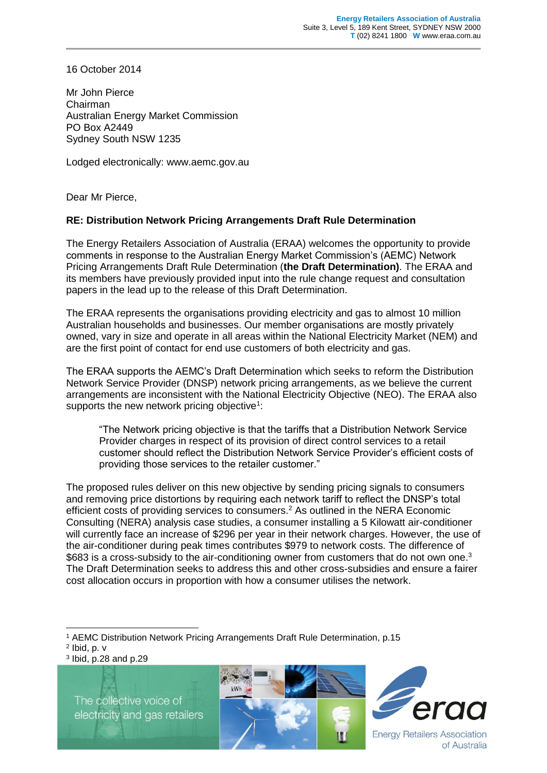16 October 2014

Mr John Pierce Chairman Australian Energy Market Commission PO Box A2449 Sydney South NSW 1235

Lodged electronically: www.aemc.gov.au

Dear Mr Pierce,

## **RE: Distribution Network Pricing Arrangements Draft Rule Determination**

The Energy Retailers Association of Australia (ERAA) welcomes the opportunity to provide comments in response to the Australian Energy Market Commission's (AEMC) Network Pricing Arrangements Draft Rule Determination (**the Draft Determination)**. The ERAA and its members have previously provided input into the rule change request and consultation papers in the lead up to the release of this Draft Determination.

The ERAA represents the organisations providing electricity and gas to almost 10 million Australian households and businesses. Our member organisations are mostly privately owned, vary in size and operate in all areas within the National Electricity Market (NEM) and are the first point of contact for end use customers of both electricity and gas.

The ERAA supports the AEMC's Draft Determination which seeks to reform the Distribution Network Service Provider (DNSP) network pricing arrangements, as we believe the current arrangements are inconsistent with the National Electricity Objective (NEO). The ERAA also supports the new network pricing objective<sup>1</sup>:

"The Network pricing objective is that the tariffs that a Distribution Network Service Provider charges in respect of its provision of direct control services to a retail customer should reflect the Distribution Network Service Provider's efficient costs of providing those services to the retailer customer."

The proposed rules deliver on this new objective by sending pricing signals to consumers and removing price distortions by requiring each network tariff to reflect the DNSP's total efficient costs of providing services to consumers.<sup>2</sup> As outlined in the NERA Economic Consulting (NERA) analysis case studies, a consumer installing a 5 Kilowatt air-conditioner will currently face an increase of \$296 per year in their network charges. However, the use of the air-conditioner during peak times contributes \$979 to network costs. The difference of \$683 is a cross-subsidy to the air-conditioning owner from customers that do not own one.<sup>3</sup> The Draft Determination seeks to address this and other cross-subsidies and ensure a fairer cost allocation occurs in proportion with how a consumer utilises the network.

 $2$  Ibid, p.  $v$ 

-

3 Ibid, p.28 and p.29

The collective voice of electricity and gas retailers





<sup>1</sup> AEMC Distribution Network Pricing Arrangements Draft Rule Determination, p.15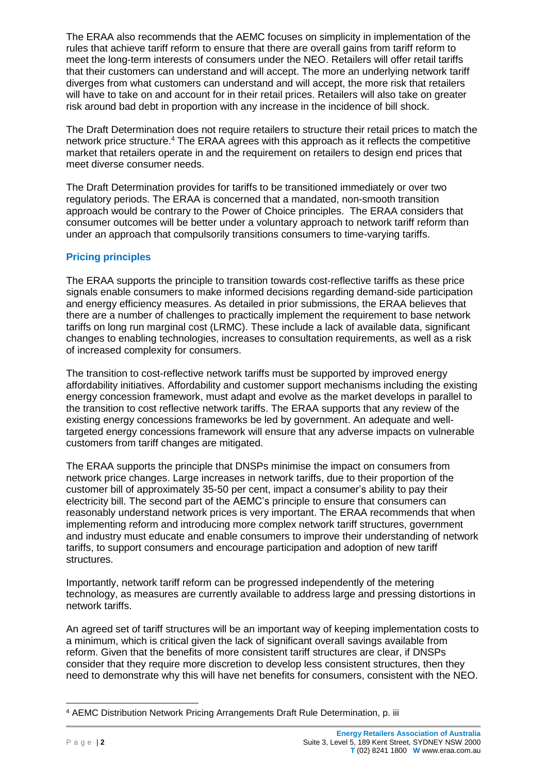The ERAA also recommends that the AEMC focuses on simplicity in implementation of the rules that achieve tariff reform to ensure that there are overall gains from tariff reform to meet the long-term interests of consumers under the NEO. Retailers will offer retail tariffs that their customers can understand and will accept. The more an underlying network tariff diverges from what customers can understand and will accept, the more risk that retailers will have to take on and account for in their retail prices. Retailers will also take on greater risk around bad debt in proportion with any increase in the incidence of bill shock.

The Draft Determination does not require retailers to structure their retail prices to match the network price structure. <sup>4</sup> The ERAA agrees with this approach as it reflects the competitive market that retailers operate in and the requirement on retailers to design end prices that meet diverse consumer needs.

The Draft Determination provides for tariffs to be transitioned immediately or over two regulatory periods. The ERAA is concerned that a mandated, non-smooth transition approach would be contrary to the Power of Choice principles. The ERAA considers that consumer outcomes will be better under a voluntary approach to network tariff reform than under an approach that compulsorily transitions consumers to time-varying tariffs.

## **Pricing principles**

The ERAA supports the principle to transition towards cost-reflective tariffs as these price signals enable consumers to make informed decisions regarding demand-side participation and energy efficiency measures. As detailed in prior submissions, the ERAA believes that there are a number of challenges to practically implement the requirement to base network tariffs on long run marginal cost (LRMC). These include a lack of available data, significant changes to enabling technologies, increases to consultation requirements, as well as a risk of increased complexity for consumers.

The transition to cost-reflective network tariffs must be supported by improved energy affordability initiatives. Affordability and customer support mechanisms including the existing energy concession framework, must adapt and evolve as the market develops in parallel to the transition to cost reflective network tariffs. The ERAA supports that any review of the existing energy concessions frameworks be led by government. An adequate and welltargeted energy concessions framework will ensure that any adverse impacts on vulnerable customers from tariff changes are mitigated.

The ERAA supports the principle that DNSPs minimise the impact on consumers from network price changes. Large increases in network tariffs, due to their proportion of the customer bill of approximately 35-50 per cent, impact a consumer's ability to pay their electricity bill. The second part of the AEMC's principle to ensure that consumers can reasonably understand network prices is very important. The ERAA recommends that when implementing reform and introducing more complex network tariff structures, government and industry must educate and enable consumers to improve their understanding of network tariffs, to support consumers and encourage participation and adoption of new tariff structures.

Importantly, network tariff reform can be progressed independently of the metering technology, as measures are currently available to address large and pressing distortions in network tariffs.

An agreed set of tariff structures will be an important way of keeping implementation costs to a minimum, which is critical given the lack of significant overall savings available from reform. Given that the benefits of more consistent tariff structures are clear, if DNSPs consider that they require more discretion to develop less consistent structures, then they need to demonstrate why this will have net benefits for consumers, consistent with the NEO.

<sup>-</sup><sup>4</sup> AEMC Distribution Network Pricing Arrangements Draft Rule Determination, p. iii